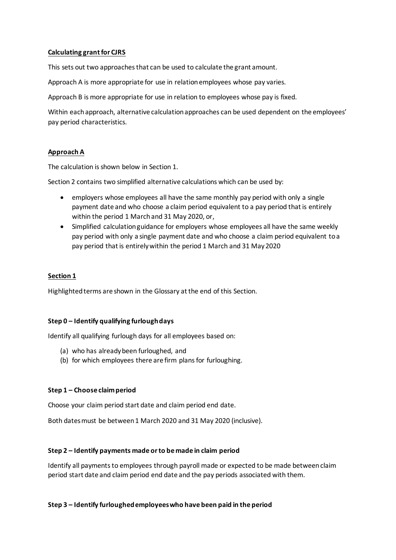### **Calculating grant for CJRS**

This sets out two approaches that can be used to calculate the grant amount.

Approach A is more appropriate for use in relation employees whose pay varies.

Approach B is more appropriate for use in relation to employees whose pay is fixed.

Within each approach, alternative calculation approaches can be used dependent on the employees' pay period characteristics.

## **Approach A**

The calculation is shown below in Section 1.

Section 2 contains two simplified alternative calculations which can be used by:

- employers whose employees all have the same monthly pay period with only a single payment date and who choose a claim period equivalent to a pay period that is entirely within the period 1 March and 31 May 2020, or,
- Simplified calculation guidance for employers whose employees all have the same weekly pay period with only a single payment date and who choose a claim period equivalent to a pay period that is entirely within the period 1 March and 31 May 2020

### **Section 1**

Highlighted terms are shown in the Glossary at the end of this Section.

### **Step 0 – Identify qualifying furlough days**

Identify all qualifying furlough days for all employees based on:

- (a) who has already been furloughed, and
- (b) for which employees there are firm plans for furloughing.

### **Step 1 – Choose claim period**

Choose your claim period start date and claim period end date.

Both dates must be between 1 March 2020 and 31 May 2020 (inclusive).

### **Step 2 – Identify payments made or to be made in claim period**

Identify all payments to employees through payroll made or expected to be made between claim period start date and claim period end date and the pay periods associated with them.

### **Step 3 – Identify furloughed employees who have been paid in the period**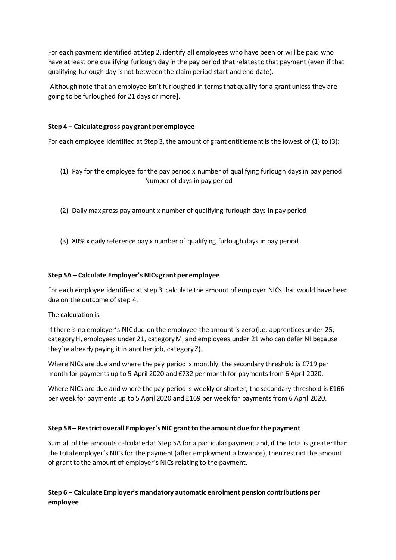For each payment identified at Step 2, identify all employees who have been or will be paid who have at least one qualifying furlough day in the pay period that relates to that payment (even if that qualifying furlough day is not between the claim period start and end date).

[Although note that an employee isn't furloughed in terms that qualify for a grant unless they are going to be furloughed for 21 days or more].

# **Step 4 – Calculate gross pay grant per employee**

For each employee identified at Step 3, the amount of grant entitlement is the lowest of (1) to (3):

- (1) Pay for the employee for the pay period x number of qualifying furlough days in pay period Number of days in pay period
- (2) Daily max gross pay amount x number of qualifying furlough days in pay period
- (3) 80% x daily reference pay x number of qualifying furlough days in pay period

## **Step 5A – Calculate Employer's NICs grant per employee**

For each employee identified at step 3, calculate the amount of employer NICs that would have been due on the outcome of step 4.

The calculation is:

If there is no employer's NIC due on the employee the amount is zero (i.e. apprentices under 25, categoryH, employees under 21, category M, and employees under 21 who can defer NI because they're already paying it in another job, category Z).

Where NICs are due and where the pay period is monthly, the secondary threshold is £719 per month for payments up to 5 April 2020 and £732 per month for payments from 6 April 2020.

Where NICs are due and where the pay period is weekly or shorter, the secondary threshold is £166 per week for payments up to 5 April 2020 and £169 per week for payments from 6 April 2020.

## **Step 5B – Restrict overall Employer's NIC grant to the amount due for the payment**

Sum all of the amounts calculated at Step 5A for a particular payment and, if the total is greater than the total employer's NICs for the payment (after employment allowance), then restrict the amount of grant to the amount of employer's NICs relating to the payment.

# **Step 6 – Calculate Employer's mandatory automatic enrolment pension contributions per employee**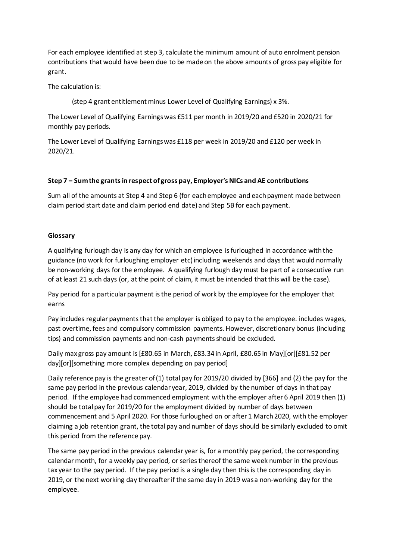For each employee identified at step 3, calculate the minimum amount of auto enrolment pension contributions that would have been due to be made on the above amounts of gross pay eligible for grant.

The calculation is:

(step 4 grant entitlement minus Lower Level of Qualifying Earnings) x 3%.

The Lower Level of Qualifying Earnings was £511 per month in 2019/20 and £520 in 2020/21 for monthly pay periods.

The Lower Level of Qualifying Earnings was £118 per week in 2019/20 and £120 per week in 2020/21.

# **Step 7 – Sum the grants in respect of gross pay, Employer's NICs and AE contributions**

Sum all of the amounts at Step 4 and Step 6 (for each employee and each payment made between claim period start date and claim period end date) and Step 5B for each payment.

## **Glossary**

A qualifying furlough day is any day for which an employee is furloughed in accordance with the guidance (no work for furloughing employer etc) including weekends and days that would normally be non-working days for the employee. A qualifying furlough day must be part of a consecutive run of at least 21 such days (or, at the point of claim, it must be intended that this will be the case).

Pay period for a particular payment is the period of work by the employee for the employer that earns

Pay includes regular payments that the employer is obliged to pay to the employee. includes wages, past overtime, fees and compulsory commission payments. However, discretionary bonus (including tips) and commission payments and non-cash payments should be excluded.

Daily max gross pay amount is [£80.65 in March, £83.34 in April, £80.65 in May][or][£81.52 per day][or][something more complex depending on pay period]

Daily reference pay is the greater of (1) total pay for 2019/20 divided by [366] and (2) the pay for the same pay period in the previous calendar year, 2019, divided by the number of days in that pay period. If the employee had commenced employment with the employer after 6 April 2019 then (1) should be total pay for 2019/20 for the employment divided by number of days between commencement and 5 April 2020. For those furloughed on or after 1 March 2020, with the employer claiming a job retention grant, the total pay and number of days should be similarly excluded to omit this period from the reference pay.

The same pay period in the previous calendar year is, for a monthly pay period, the corresponding calendar month, for a weekly pay period, or series thereof the same week number in the previous tax year to the pay period. If the pay period is a single day then this is the corresponding day in 2019, or the next working day thereafter if the same day in 2019 was a non-working day for the employee.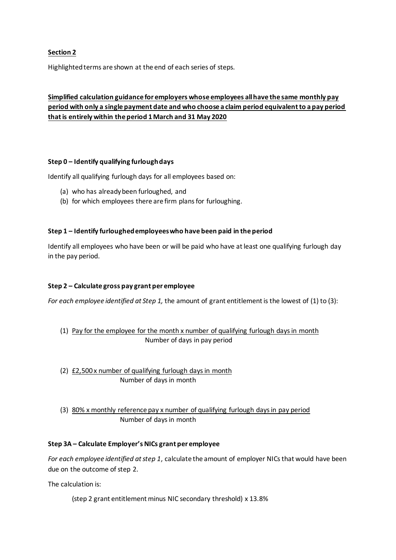# **Section 2**

Highlighted terms are shown at the end of each series of steps.

# **Simplified calculation guidance for employers whose employees all have the same monthly pay period with only a single payment date and who choose a claim period equivalent to a pay period that is entirely within the period 1 March and 31 May 2020**

### **Step 0 – Identify qualifying furlough days**

Identify all qualifying furlough days for all employees based on:

- (a) who has already been furloughed, and
- (b) for which employees there are firm plans for furloughing.

### **Step 1 – Identify furloughed employees who have been paid in the period**

Identify all employees who have been or will be paid who have at least one qualifying furlough day in the pay period.

## **Step 2 – Calculate gross pay grant per employee**

*For each employee identified at Step 1,* the amount of grant entitlement is the lowest of (1) to (3):

- (1) Pay for the employee for the month x number of qualifying furlough days in month Number of days in pay period
- (2) £2,500 x number of qualifying furlough days in month Number of days in month
- (3) 80% x monthly reference pay x number of qualifying furlough days in pay period Number of days in month

### **Step 3A – Calculate Employer's NICs grant per employee**

*For each employee identified at step 1*, calculate the amount of employer NICs that would have been due on the outcome of step 2.

The calculation is:

(step 2 grant entitlement minus NIC secondary threshold) x 13.8%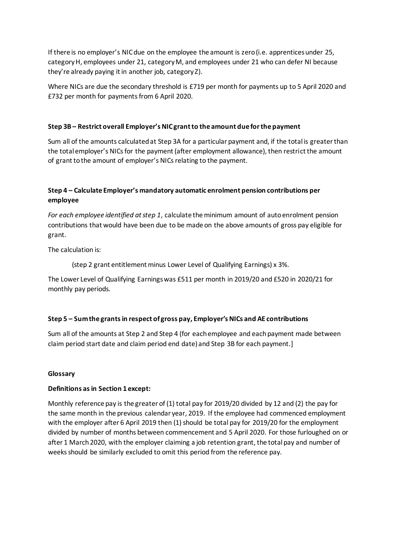If there is no employer's NIC due on the employee the amount is zero (i.e. apprentices under 25, category H, employees under 21, category M, and employees under 21 who can defer NI because they're already paying it in another job, category Z).

Where NICs are due the secondary threshold is £719 per month for payments up to 5 April 2020 and £732 per month for payments from 6 April 2020.

## **Step 3B – Restrict overall Employer's NIC grant to the amount due for the payment**

Sum all of the amounts calculated at Step 3A for a particular payment and, if the total is greater than the total employer's NICs for the payment (after employment allowance), then restrict the amount of grant to the amount of employer's NICs relating to the payment.

# **Step 4 – Calculate Employer's mandatory automatic enrolment pension contributions per employee**

*For each employee identified at step 1*, calculate the minimum amount of auto enrolment pension contributions that would have been due to be made on the above amounts of gross pay eligible for grant.

The calculation is:

(step 2 grant entitlement minus Lower Level of Qualifying Earnings) x 3%.

The Lower Level of Qualifying Earnings was £511 per month in 2019/20 and £520 in 2020/21 for monthly pay periods.

## **Step 5 – Sum the grants in respect of gross pay, Employer's NICs and AE contributions**

Sum all of the amounts at Step 2 and Step 4 (for each employee and each payment made between claim period start date and claim period end date) and Step 3B for each payment.]

### **Glossary**

### **Definitions as in Section 1 except:**

Monthly reference pay is the greater of (1) total pay for 2019/20 divided by 12 and (2) the pay for the same month in the previous calendar year, 2019. If the employee had commenced employment with the employer after 6 April 2019 then (1) should be total pay for 2019/20 for the employment divided by number of months between commencement and 5 April 2020. For those furloughed on or after 1 March 2020, with the employer claiming a job retention grant, the total pay and number of weeks should be similarly excluded to omit this period from the reference pay.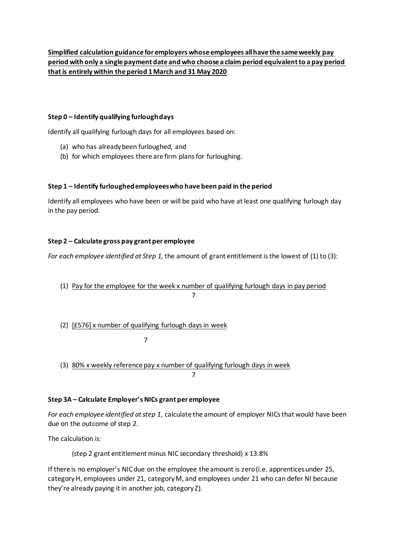# **Step 0 – Identify qualifying furlough days**

Identify all qualifying furlough days for all employees based on:

- (a) who has already been furloughed, and
- (b) for which employees there are firm plans for furloughing.

# **Step 1 – Identify furloughed employees who have been paid in the period**

Identify all employees who have been or will be paid who have at least one qualifying furlough day in the pay period.

# **Step 2 – Calculate gross pay grant per employee**

*For each employee identified at Step 1,* the amount of grant entitlement is the lowest of (1) to (3):

- (1) Pay for the employee for the week x number of qualifying furlough days in pay period 7 **7** 7
- (2) [£576] x number of qualifying furlough days in week

7

(3) 80% x weekly reference pay x number of qualifying furlough days in week 7

## **Step 3A – Calculate Employer's NICs grant per employee**

*For each employee identified at step 1*, calculate the amount of employer NICs that would have been due on the outcome of step 2.

The calculation is:

(step 2 grant entitlement minus NIC secondary threshold) x 13.8%

If there is no employer's NIC due on the employee the amount is zero (i.e. apprentices under 25, category H, employees under 21, category M, and employees under 21 who can defer NI because they're already paying it in another job, category Z).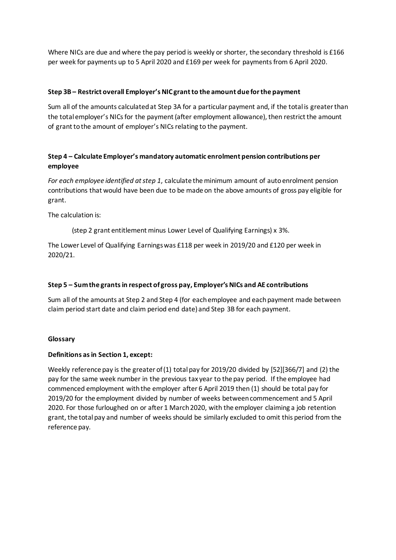Where NICs are due and where the pay period is weekly or shorter, the secondary threshold is £166 per week for payments up to 5 April 2020 and £169 per week for payments from 6 April 2020.

## **Step 3B – Restrict overall Employer's NIC grant to the amount due for the payment**

Sum all of the amounts calculated at Step 3A for a particular payment and, if the total is greater than the total employer's NICs for the payment (after employment allowance), then restrict the amount of grant to the amount of employer's NICs relating to the payment.

# **Step 4 – Calculate Employer's mandatory automatic enrolment pension contributions per employee**

*For each employee identified at step 1*, calculate the minimum amount of auto enrolment pension contributions that would have been due to be made on the above amounts of gross pay eligible for grant.

The calculation is:

(step 2 grant entitlement minus Lower Level of Qualifying Earnings) x 3%.

The Lower Level of Qualifying Earnings was £118 per week in 2019/20 and £120 per week in 2020/21.

# **Step 5 – Sum the grants in respect of gross pay, Employer's NICs and AE contributions**

Sum all of the amounts at Step 2 and Step 4 (for each employee and each payment made between claim period start date and claim period end date) and Step 3B for each payment.

## **Glossary**

## **Definitions as in Section 1, except:**

Weekly reference pay is the greater of (1) total pay for 2019/20 divided by [52][366/7] and (2) the pay for the same week number in the previous tax year to the pay period. If the employee had commenced employment with the employer after 6 April 2019 then (1) should be total pay for 2019/20 for the employment divided by number of weeks between commencement and 5 April 2020. For those furloughed on or after 1 March 2020, with the employer claiming a job retention grant, the total pay and number of weeks should be similarly excluded to omit this period from the reference pay.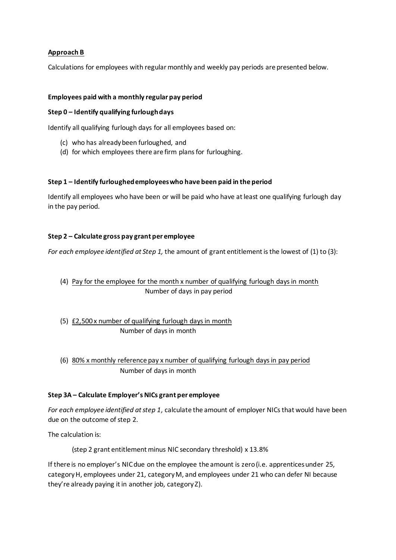# **Approach B**

Calculations for employees with regular monthly and weekly pay periods are presented below.

### **Employees paid with a monthly regular pay period**

### **Step 0 – Identify qualifying furlough days**

Identify all qualifying furlough days for all employees based on:

- (c) who has already been furloughed, and
- (d) for which employees there are firm plans for furloughing.

### **Step 1 – Identify furloughed employees who have been paid in the period**

Identify all employees who have been or will be paid who have at least one qualifying furlough day in the pay period.

### **Step 2 – Calculate gross pay grant per employee**

*For each employee identified at Step 1,* the amount of grant entitlement is the lowest of (1) to (3):

- (4) Pay for the employee for the month x number of qualifying furlough days in month Number of days in pay period
- (5)  $E2,500x$  number of qualifying furlough days in month Number of days in month
- (6) 80% x monthly reference pay x number of qualifying furlough days in pay period Number of days in month

## **Step 3A – Calculate Employer's NICs grant per employee**

*For each employee identified at step 1*, calculate the amount of employer NICs that would have been due on the outcome of step 2.

The calculation is:

(step 2 grant entitlement minus NIC secondary threshold) x 13.8%

If there is no employer's NIC due on the employee the amount is zero (i.e. apprentices under 25, category H, employees under 21, category M, and employees under 21 who can defer NI because they're already paying it in another job, category Z).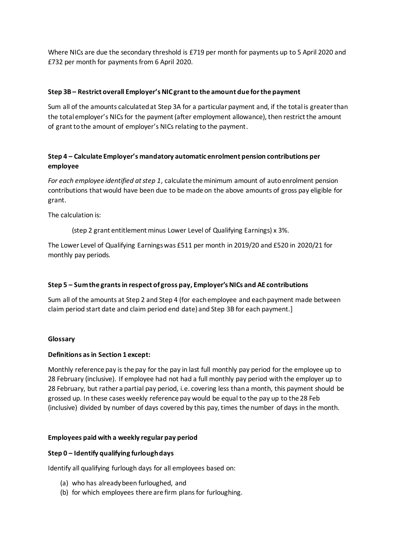Where NICs are due the secondary threshold is £719 per month for payments up to 5 April 2020 and £732 per month for payments from 6 April 2020.

### **Step 3B – Restrict overall Employer's NIC grant to the amount due for the payment**

Sum all of the amounts calculated at Step 3A for a particular payment and, if the total is greater than the total employer's NICs for the payment (after employment allowance), then restrict the amount of grant to the amount of employer's NICs relating to the payment.

# **Step 4 – Calculate Employer's mandatory automatic enrolment pension contributions per employee**

*For each employee identified at step 1*, calculate the minimum amount of auto enrolment pension contributions that would have been due to be made on the above amounts of gross pay eligible for grant.

The calculation is:

(step 2 grant entitlement minus Lower Level of Qualifying Earnings) x 3%.

The Lower Level of Qualifying Earnings was £511 per month in 2019/20 and £520 in 2020/21 for monthly pay periods.

## **Step 5 – Sum the grants in respect of gross pay, Employer's NICs and AE contributions**

Sum all of the amounts at Step 2 and Step 4 (for each employee and each payment made between claim period start date and claim period end date) and Step 3B for each payment.]

### **Glossary**

### **Definitions as in Section 1 except:**

Monthly reference pay is the pay for the pay in last full monthly pay period for the employee up to 28 February (inclusive). If employee had not had a full monthly pay period with the employer up to 28 February, but rather a partial pay period, i.e. covering less than a month, this payment should be grossed up. In these cases weekly reference pay would be equal to the pay up to the 28 Feb (inclusive) divided by number of days covered by this pay, times the number of days in the month.

### **Employees paid with a weekly regular pay period**

### **Step 0 – Identify qualifying furlough days**

Identify all qualifying furlough days for all employees based on:

- (a) who has already been furloughed, and
- (b) for which employees there are firm plans for furloughing.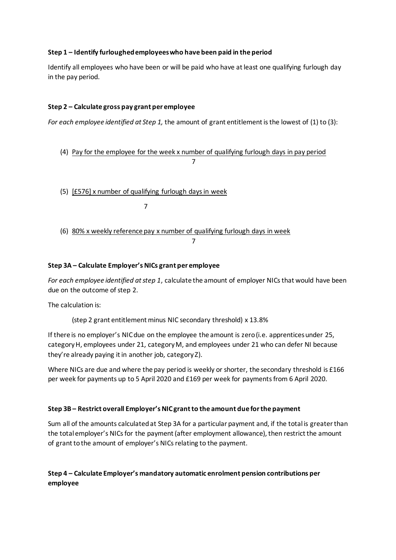# **Step 1 – Identify furloughed employees who have been paid in the period**

Identify all employees who have been or will be paid who have at least one qualifying furlough day in the pay period.

# **Step 2 – Calculate gross pay grant per employee**

*For each employee identified at Step 1,* the amount of grant entitlement is the lowest of (1) to (3):

(4) Pay for the employee for the week x number of qualifying furlough days in pay period 7 **7** 7

(5) [£576] x number of qualifying furlough days in week

7

(6) 80% x weekly reference pay x number of qualifying furlough days in week

## **Step 3A – Calculate Employer's NICs grant per employee**

*For each employee identified at step 1*, calculate the amount of employer NICs that would have been due on the outcome of step 2.

7

The calculation is:

(step 2 grant entitlement minus NIC secondary threshold) x 13.8%

If there is no employer's NIC due on the employee the amount is zero (i.e. apprentices under 25, category H, employees under 21, category M, and employees under 21 who can defer NI because they're already paying it in another job, category Z).

Where NICs are due and where the pay period is weekly or shorter, the secondary threshold is £166 per week for payments up to 5 April 2020 and £169 per week for payments from 6 April 2020.

## **Step 3B – Restrict overall Employer's NIC grant to the amount due for the payment**

Sum all of the amounts calculated at Step 3A for a particular payment and, if the total is greater than the total employer's NICs for the payment (after employment allowance), then restrict the amount of grant to the amount of employer's NICs relating to the payment.

# **Step 4 – Calculate Employer's mandatory automatic enrolment pension contributions per employee**